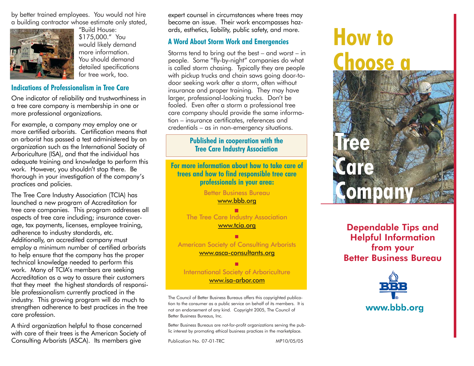by better trained employees. You would not hire a building contractor whose estimate only stated,



"Build House: \$175,000." You would likely demand more information. You should demand detailed specifications for tree work, too.

#### **Indications of Professionalism in Tree Care**

One indicator of reliability and trustworthiness in a tree care company is membership in one or more professional organizations.

For example, a company may employ one or more certified arborists. Certification means that an arborist has passed a test administered by an organization such as the International Sociaty of Arboriculture (ISA), and that the individual has adequate training and knowledge to perform this work. However, you shouldn't stop there. Be thorough in your investigation of the company's practices and policies.

The Tree Care Industry Association (TCIA) has launched a new program of Accreditation for tree care companies. This program addresses all aspects of tree care including; insurance coverage, tax payments, licenses, employee training, adherence to industry standards, etc. Additionally, an accredited company must employ a minimum number of certified arborists to help ensure that the company has the proper technical knowledge needed to perform this work. Many of TCIA's members are seeking Accreditation as a way to assure their customers that they meet the highest standards of responsible professionalism currently practiced in the industry. This growing program will do much to strengthen adherence to best practices in the tree care profession.

A third organization helpful to those concerned with care of their trees is the American Society of Consulting Arborists (ASCA). Its members give

expert counsel in circumstances where trees may become an issue. Their work encompasses hazards, esthetics, liability, public safety, and more.

## **A Word About Storm Work and Emergencies**

Storms tend to bring out the best – and worst – in people. Some "fly-by-night" companies do what is called storm chasing. Typically they are people with pickup trucks and chain saws going door-todoor seeking work after a storm, often without insurance and proper training. They may have larger, professional-looking trucks. Don't be fooled. Even after a storm a professional tree care company should provide the same information – insurance certificates, references and credentials – as in non-emergency situations.

### **Published in cooperation with the Tree Care Industry Association**

**For more information about how to take care of trees and how to find responsible tree care professionals in your area:**

> Better Business Bureau www.bbb.org

The Tree Care Industry Association www.tcia.org

American Society of Consulting Arborists www.asca-consultants.org

International Society of Arboriculture www.isa-arbor.com

The Council of Better Business Bureaus offers this copyrighted publication to the consumer as a public service on behalf of its members. It is not an endorsement of any kind. Copyright 2005, The Council of Better Business Bureaus, Inc.

Better Business Bureaus are not-for-profit organizations serving the public interest by promoting ethical business practices in the marketplace.

Publication No. 07-01-TRC MP10/05/05

# **How to Choose a**



# Dependable Tips and Helpful Information from your Better Business Bureau